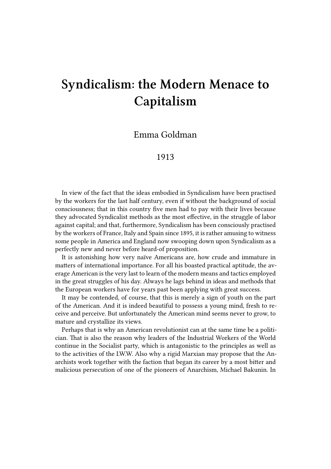## **Syndicalism: the Modern Menace to Capitalism**

## Emma Goldman

## 1913

In view of the fact that the ideas embodied in Syndicalism have been practised by the workers for the last half century, even if without the background of social consciousness; that in this country five men had to pay with their lives because they advocated Syndicalist methods as the most effective, in the struggle of labor against capital; and that, furthermore, Syndicalism has been consciously practised by the workers of France, Italy and Spain since 1895, it is rather amusing to witness some people in America and England now swooping down upon Syndicalism as a perfectly new and never before heard-of proposition.

It is astonishing how very naïve Americans are, how crude and immature in matters of international importance. For all his boasted practical aptitude, the average American is the very last to learn of the modern means and tactics employed in the great struggles of his day. Always he lags behind in ideas and methods that the European workers have for years past been applying with great success.

It may be contended, of course, that this is merely a sign of youth on the part of the American. And it is indeed beautiful to possess a young mind, fresh to receive and perceive. But unfortunately the American mind seems never to grow, to mature and crystallize its views.

Perhaps that is why an American revolutionist can at the same time be a politician. That is also the reason why leaders of the Industrial Workers of the World continue in the Socialist party, which is antagonistic to the principles as well as to the activities of the I.W.W. Also why a rigid Marxian may propose that the Anarchists work together with the faction that began its career by a most bitter and malicious persecution of one of the pioneers of Anarchism, Michael Bakunin. In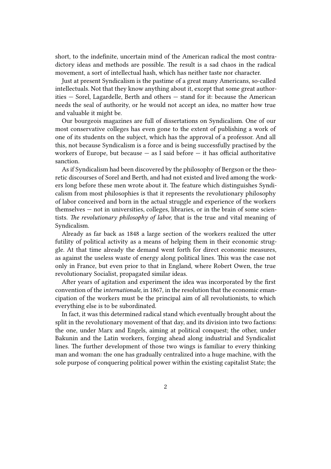short, to the indefinite, uncertain mind of the American radical the most contradictory ideas and methods are possible. The result is a sad chaos in the radical movement, a sort of intellectual hash, which has neither taste nor character.

Just at present Syndicalism is the pastime of a great many Americans, so-called intellectuals. Not that they know anything about it, except that some great authorities — Sorel, Lagardelle, Berth and others — stand for it: because the American needs the seal of authority, or he would not accept an idea, no matter how true and valuable it might be.

Our bourgeois magazines are full of dissertations on Syndicalism. One of our most conservative colleges has even gone to the extent of publishing a work of one of its students on the subject, which has the approval of a professor. And all this, not because Syndicalism is a force and is being successfully practised by the workers of Europe, but because  $-$  as I said before  $-$  it has official authoritative sanction.

As if Syndicalism had been discovered by the philosophy of Bergson or the theoretic discourses of Sorel and Berth, and had not existed and lived among the workers long before these men wrote about it. The feature which distinguishes Syndicalism from most philosophies is that it represents the revolutionary philosophy of labor conceived and born in the actual struggle and experience of the workers themselves — not in universities, colleges, libraries, or in the brain of some scientists. *The revolutionary philosophy of labor,* that is the true and vital meaning of Syndicalism.

Already as far back as 1848 a large section of the workers realized the utter futility of political activity as a means of helping them in their economic struggle. At that time already the demand went forth for direct economic measures, as against the useless waste of energy along political lines. This was the case not only in France, but even prior to that in England, where Robert Owen, the true revolutionary Socialist, propagated similar ideas.

After years of agitation and experiment the idea was incorporated by the first convention of the i*nternationale,* in 1867, in the resolution that the economic emancipation of the workers must be the principal aim of all revolutionists, to which everything else is to be subordinated.

In fact, it was this determined radical stand which eventually brought about the split in the revolutionary movement of that day, and its division into two factions: the one, under Marx and Engels, aiming at political conquest; the other, under Bakunin and the Latin workers, forging ahead along industrial and Syndicalist lines. The further development of those two wings is familiar to every thinking man and woman: the one has gradually centralized into a huge machine, with the sole purpose of conquering political power within the existing capitalist State; the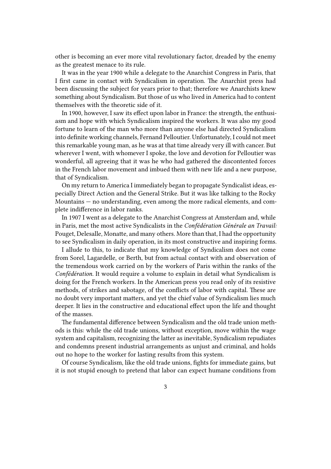other is becoming an ever more vital revolutionary factor, dreaded by the enemy as the greatest menace to its rule.

It was in the year 1900 while a delegate to the Anarchist Congress in Paris, that I first came in contact with Syndicalism in operation. The Anarchist press had been discussing the subject for years prior to that; therefore we Anarchists knew something about Syndicalism. But those of us who lived in America had to content themselves with the theoretic side of it.

In 1900, however, I saw its effect upon labor in France: the strength, the enthusiasm and hope with which Syndicalism inspired the workers. It was also my good fortune to learn of the man who more than anyone else had directed Syndicalism into definite working channels, Fernand Pelloutier. Unfortunately, I could not meet this remarkable young man, as he was at that time already very ill with cancer. But wherever I went, with whomever I spoke, the love and devotion for Pelloutier was wonderful, all agreeing that it was he who had gathered the discontented forces in the French labor movement and imbued them with new life and a new purpose, that of Syndicalism.

On my return to America I immediately began to propagate Syndicalist ideas, especially Direct Action and the General Strike. But it was like talking to the Rocky Mountains — no understanding, even among the more radical elements, and complete indifference in labor ranks.

In 1907 I went as a delegate to the Anarchist Congress at Amsterdam and, while in Paris, met the most active Syndicalists in the *Confédération Générale an Travail:* Pouget, Delesalle, Monatte, and many others. More than that, I had the opportunity to see Syndicalism in daily operation, in its most constructive and inspiring forms.

I allude to this, to indicate that my knowledge of Syndicalism does not come from Sorel, Lagardelle, or Berth, but from actual contact with and observation of the tremendous work carried on by the workers of Paris within the ranks of the *Confédération.* It would require a volume to explain in detail what Syndicalism is doing for the French workers. In the American press you read only of its resistive methods, of strikes and sabotage, of the conflicts of labor with capital. These are no doubt very important matters, and yet the chief value of Syndicalism lies much deeper. It lies in the constructive and educational effect upon the life and thought of the masses.

The fundamental difference between Syndicalism and the old trade union methods is this: while the old trade unions, without exception, move within the wage system and capitalism, recognizing the latter as inevitable, Syndicalism repudiates and condemns present industrial arrangements as unjust and criminal, and holds out no hope to the worker for lasting results from this system.

Of course Syndicalism, like the old trade unions, fights for immediate gains, but it is not stupid enough to pretend that labor can expect humane conditions from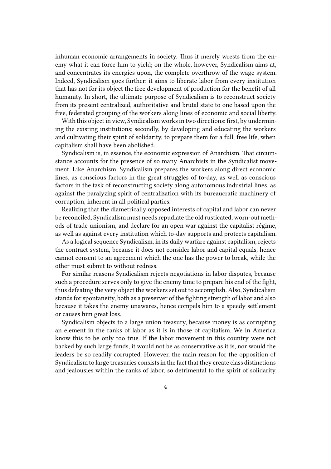inhuman economic arrangements in society. Thus it merely wrests from the enemy what it can force him to yield; on the whole, however, Syndicalism aims at, and concentrates its energies upon, the complete overthrow of the wage system. Indeed, Syndicalism goes further: it aims to liberate labor from every institution that has not for its object the free development of production for the benefit of all humanity. In short, the ultimate purpose of Syndicalism is to reconstruct society from its present centralized, authoritative and brutal state to one based upon the free, federated grouping of the workers along lines of economic and social liberty.

With this object in view, Syndicalism works in two directions: first, by undermining the existing institutions; secondly, by developing and educating the workers and cultivating their spirit of solidarity, to prepare them for a full, free life, when capitalism shall have been abolished.

Syndicalism is, in essence, the economic expression of Anarchism. That circumstance accounts for the presence of so many Anarchists in the Syndicalist movement. Like Anarchism, Syndicalism prepares the workers along direct economic lines, as conscious factors in the great struggles of to-day, as well as conscious factors in the task of reconstructing society along autonomous industrial lines, as against the paralyzing spirit of centralization with its bureaucratic machinery of corruption, inherent in all political parties.

Realizing that the diametrically opposed interests of capital and labor can never be reconciled, Syndicalism must needs repudiate the old rusticated, worn-out methods of trade unionism, and declare for an open war against the capitalist régime, as well as against every institution which to-day supports and protects capitalism.

As a logical sequence Syndicalism, in its daily warfare against capitalism, rejects the contract system, because it does not consider labor and capital equals, hence cannot consent to an agreement which the one has the power to break, while the other must submit to without redress.

For similar reasons Syndicalism rejects negotiations in labor disputes, because such a procedure serves only to give the enemy time to prepare his end of the fight, thus defeating the very object the workers set out to accomplish. Also, Syndicalism stands for spontaneity, both as a preserver of the fighting strength of labor and also because it takes the enemy unawares, hence compels him to a speedy settlement or causes him great loss.

Syndicalism objects to a large union treasury, because money is as corrupting an element in the ranks of labor as it is in those of capitalism. We in America know this to be only too true. If the labor movement in this country were not backed by such large funds, it would not be as conservative as it is, nor would the leaders be so readily corrupted. However, the main reason for the opposition of Syndicalism to large treasuries consists in the fact that they create class distinctions and jealousies within the ranks of labor, so detrimental to the spirit of solidarity.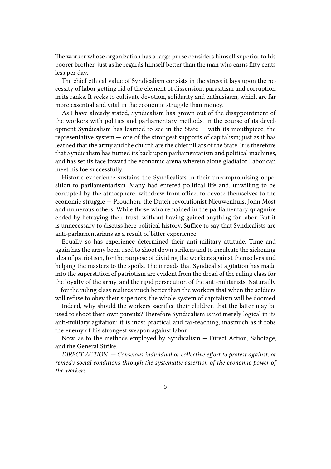The worker whose organization has a large purse considers himself superior to his poorer brother, just as he regards himself better than the man who earns fifty cents less per day.

The chief ethical value of Syndicalism consists in the stress it lays upon the necessity of labor getting rid of the element of dissension, parasitism and corruption in its ranks. It seeks to cultivate devotion, solidarity and enthusiasm, which are far more essential and vital in the economic struggle than money.

As I have already stated, Syndicalism has grown out of the disappointment of the workers with politics and parliamentary methods. In the course of its development Syndicalism has learned to see in the State — with its mouthpiece, the representative system  $-$  one of the strongest supports of capitalism; just as it has learned that the army and the church are the chief pillars of the State. It is therefore that Syndicalism has turned its back upon parliamentarism and political machines, and has set its face toward the economic arena wherein alone gladiator Labor can meet his foe successfully.

Historic experience sustains the Synclicalists in their uncompromising opposition to parliamentarism. Many had entered political life and, unwilling to be corrupted by the atmosphere, withdrew from office, to devote themselves to the economic struggle — Proudhon, the Dutch revolutionist Nieuwenhuis, John Most and numerous others. While those who remained in the parliamentary quagmire ended by betraying their trust, without having gained anything for labor. But it is unnecessary to discuss here political history. Suffice to say that Syndicalists are anti-parlarnentarians as a result of bitter experience

Equally so has experience determined their anti-military attitude. Time and again has the army been used to shoot down strikers and to inculcate the sickening idea of patriotism, for the purpose of dividing the workers against themselves and helping the masters to the spoils. The inroads that Syndicalist agitation has made into the superstition of patriotism are evident from the dread of the ruling class for the loyalty of the army, and the rigid persecution of the anti-militarists. Naturailly — for the ruling class realizes much better than the workers that when the soldiers will refuse to obey their superiors, the whole system of capitalism will be doomed.

Indeed, why should the workers sacrifice their children that the latter may be used to shoot their own parents? Therefore Syndicalism is not merely logical in its anti-military agitation; it is most practical and far-reaching, inasmuch as it robs the enemy of his strongest weapon against labor.

Now, as to the methods employed by Syndicalism — Direct Action, Sabotage, and the General Strike.

*DIRECT ACTION. — Conscious individual or collective effort to protest against, or remedy social conditions through the systematic assertion of the economic power of the workers.*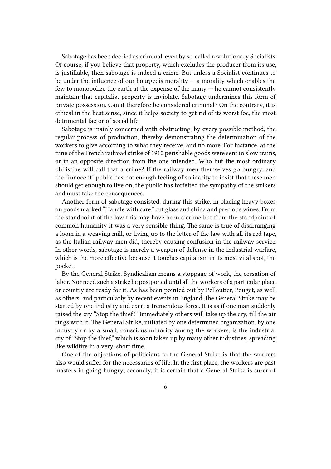Sabotage has been decried as criminal, even by so-called revolutionary Socialists. Of course, if you believe that property, which excludes the producer from its use, is justifiable, then sabotage is indeed a crime. But unless a Socialist continues to be under the influence of our bourgeois morality  $-$  a morality which enables the few to monopolize the earth at the expense of the many  $-$  he cannot consistently maintain that capitalist property is inviolate. Sabotage undermines this form of private possession. Can it therefore be considered criminal? On the contrary, it is ethical in the best sense, since it helps society to get rid of its worst foe, the most detrimental factor of social life.

Sabotage is mainly concerned with obstructing, by every possible method, the regular process of production, thereby demonstrating the determination of the workers to give according to what they receive, and no more. For instance, at the time of the French railroad strike of 1910 perishable goods were sent in slow trains, or in an opposite direction from the one intended. Who but the most ordinary philistine will call that a crime? If the railway men themselves go hungry, and the "innocent" public has not enough feeling of solidarity to insist that these men should get enough to live on, the public has forfeited the sympathy of the strikers and must take the consequences.

Another form of sabotage consisted, during this strike, in placing heavy boxes on goods marked "Handle with care," cut glass and china and precious wines. From the standpoint of the law this may have been a crime but from the standpoint of common humanity it was a very sensible thing. The same is true of disarranging a loom in a weaving mill, or living up to the letter of the law with all its red tape, as the Italian railway men did, thereby causing confusion in the railway service. In other words, sabotage is merely a weapon of defense in the industrial warfare, which is the more effective because it touches capitalism in its most vital spot, the pocket.

By the General Strike, Syndicalism means a stoppage of work, the cessation of labor. Nor need such a strike be postponed until all the workers of a particular place or country are ready for it. As has been pointed out by Pelloutier, Pouget, as well as others, and particularly by recent events in England, the General Strike may be started by one industry and exert a tremendous force. It is as if one man suddenly raised the cry "Stop the thief!" Immediately others will take up the cry, till the air rings with it. The General Strike, initiated by one determined organization, by one industry or by a small, conscious minority among the workers, is the industrial cry of "Stop the thief," which is soon taken up by many other industries, spreading like wildfire in a very, short time.

One of the objections of politicians to the General Strike is that the workers also would suffer for the necessaries of life. In the first place, the workers are past masters in going hungry; secondly, it is certain that a General Strike is surer of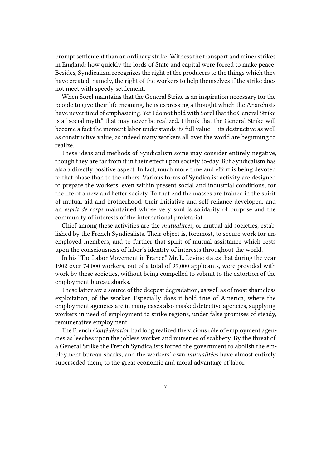prompt settlement than an ordinary strike. Witness the transport and miner strikes in England: how quickly the lords of State and capital were forced to make peace! Besides, Syndicalism recognizes the right of the producers to the things which they have created; namely, the right of the workers to help themselves if the strike does not meet with speedy settlement.

When Sorel maintains that the General Strike is an inspiration necessary for the people to give their life meaning, he is expressing a thought which the Anarchists have never tired of emphasizing. Yet I do not hold with Sorel that the General Strike is a "social myth," that may never be realized. I think that the General Strike will become a fact the moment labor understands its full value — its destructive as well as constructive value, as indeed many workers all over the world are beginning to realize.

These ideas and methods of Syndicalism some may consider entirely negative, though they are far from it in their effect upon society to-day. But Syndicalism has also a directly positive aspect. In fact, much more time and effort is being devoted to that phase than to the others. Various forms of Syndicalist activity are designed to prepare the workers, even within present social and industrial conditions, for the life of a new and better society. To that end the masses are trained in the spirit of mutual aid and brotherhood, their initiative and self-reliance developed, and an *esprit de corps* maintained whose very soul is solidarity of purpose and the community of interests of the international proletariat.

Chief among these activities are the *mutualitées,* or mutual aid societies, established by the French Syndicalists. Their object is, foremost, to secure work for unemployed members, and to further that spirit of mutual assistance which rests upon the consciousness of labor's identity of interests throughout the world.

In his "The Labor Movement in France," Mr. L. Levine states that during the year 1902 over 74,000 workers, out of a total of 99,000 applicants, were provided with work by these societies, without being compelled to submit to the extortion of the employment bureau sharks.

These latter are a source of the deepest degradation, as well as of most shameless exploitation, of the worker. Especially does it hold true of America, where the employment agencies are in many cases also masked detective agencies, supplying workers in need of employment to strike regions, under false promises of steady, remunerative employment.

The French *Confédération* had long realized the vicious rôle of employment agencies as leeches upon the jobless worker and nurseries of scabbery. By the threat of a General Strike the French Syndicalists forced the government to abolish the employment bureau sharks, and the workers' own *mutualitées* have almost entirely superseded them, to the great economic and moral advantage of labor.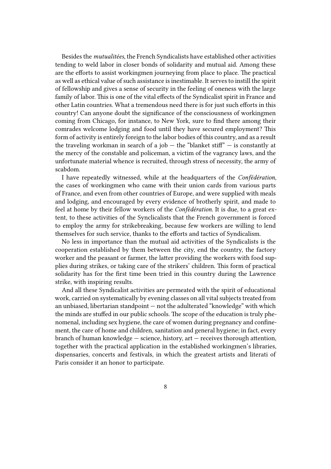Besides the *mutualitées,* the French Syndicalists have established other activities tending to weld labor in closer bonds of solidarity and mutual aid. Among these are the efforts to assist workingmen journeying from place to place. The practical as well as ethical value of such assistance is inestimable. It serves to instill the spirit of fellowship and gives a sense of security in the feeling of oneness with the large family of labor. This is one of the vital effects of the Syndicalist spirit in France and other Latin countries. What a tremendous need there is for just such efforts in this country! Can anyone doubt the significance of the consciousness of workingmen coming from Chicago, for instance, to New York, sure to find there among their comrades welcome lodging and food until they have secured employment? This form of activity is entirely foreign to the labor bodies of this country, and as a result the traveling workman in search of a job  $-$  the "blanket stiff"  $-$  is constantly at the mercy of the constable and policeman, a victim of the vagrancy laws, and the unfortunate material whence is recruited, through stress of necessity, the army of scabdom.

I have repeatedly witnessed, while at the headquarters of the *Confédération,* the cases of workingmen who came with their union cards from various parts of France, and even from other countries of Europe, and were supplied with meals and lodging, and encouraged by every evidence of brotherly spirit, and made to feel at home by their fellow workers of the *Confédération.* It is due, to a great extent, to these activities of the Synclicalists that the French government is forced to employ the army for strikebreaking, because few workers are willing to lend themselves for such service, thanks to the efforts and tactics of Syndicalism.

No less in importance than the mutual aid activities of the Syndicalists is the cooperation established by them between the city, end the country, the factory worker and the peasant or farmer, the latter providing the workers with food supplies during strikes, or taking care of the strikers' children. This form of practical solidarity has for the first time been tried in this country during the Lawrence strike, with inspiring results.

And all these Syndicalist activities are permeated with the spirit of educational work, carried on systematically by evening classes on all vital subjects treated from an unbiased, libertarian standpoint — not the adulterated "knowledge" with which the minds are stuffed in our public schools. The scope of the education is truly phenomenal, including sex hygiene, the care of women during pregnancy and confinement, the care of home and children, sanitation and general hygiene; in fact, every branch of human knowledge — science, history, art — receives thorough attention, together with the practical application in the established workingmen's libraries, dispensaries, concerts and festivals, in which the greatest artists and literati of Paris consider it an honor to participate.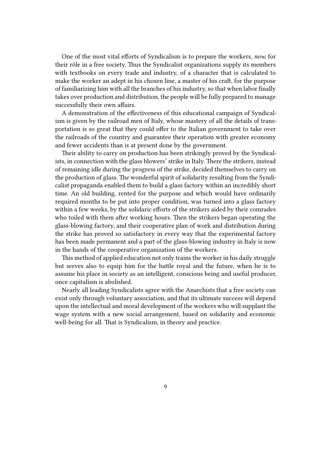One of the most vital efforts of Syndicalism is to prepare the workers, *now,* for their rôle in a free society, Thus the Syndicalist organizations supply its members with textbooks on every trade and industry, of a character that is calculated to make the worker an adept in his chosen line, a master of his craft, for the purpose of familiarizing him with all the branches of his industry, so that when labor finally takes over production and distribution, the people will be fully prepared to manage successfully their own affairs.

A demonstration of the effectiveness of this educational campaign of Syndicalism is given by the railroad men of Italy, whose mastery of all the details of transportation is so great that they could offer to the Italian government to take over the railroads of the country and guarantee their operation with greater economy and fewer accidents than is at present done by the government.

Their ability to carry on production has been strikingly proved by the Syndicalists, in connection with the glass blowers' strike in Italy. There the strikers, instead of remaining idle during the progress of the strike, decided themselves to carry on the production of glass. The wonderful spirit of solidarity resulting from the Syndicalist propaganda enabled them to build a glass factory within an incredibly short time. An old building, rented for the purpose and which would have ordinarily required months to be put into proper condition, was turned into a glass factory within a few weeks, by the solidaric efforts of the strikers aided by their comrades who toiled with them after working hours. Then the strikers began operating the glass-blowing factory, and their cooperative plan of work and distribution during the strike has proved so satisfactory in every way that the experimental factory has been made permanent and a part of the glass-blowing industry in Italy is now in the hands of the cooperative organization of the workers.

This method of applied education not only trains the worker in his daily struggle but serves also to equip him for the battle royal and the future, when he is to assume his place in society as an intelligent, conscious being and useful producer, once capitalism is abolished.

Nearly all leading Syndicalists agree with the Anarchists that a free society can exist only through voluntary association, and that its ultimate success will depend upon the intellectual and moral development of the workers who will supplant the wage system with a new social arrangement, based on solidarity and economic well-being for all. That is Syndicalism, in theory and practice.